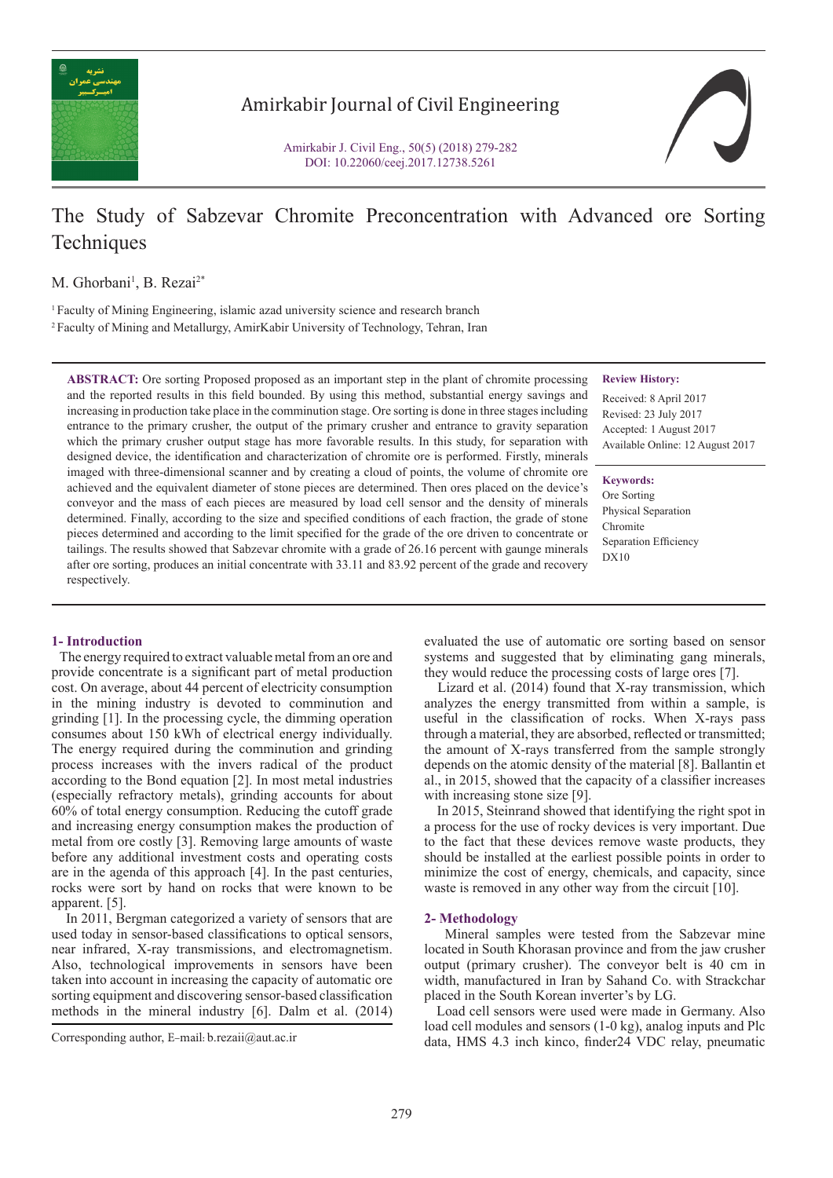

# Amirkabir Journal of Civil Engineering

Amirkabir J. Civil Eng., 50(5) (2018) 279-282 DOI: 10.22060/ceej.2017.12738.5261



# The Study of Sabzevar Chromite Preconcentration with Advanced ore Sorting Techniques

M. Ghorbani<sup>1</sup>, B. Rezai<sup>2\*</sup>

1 Faculty of Mining Engineering, islamic azad university science and research branch 2 Faculty of Mining and Metallurgy, AmirKabir University of Technology, Tehran, Iran

**ABSTRACT:** Ore sorting Proposed proposed as an important step in the plant of chromite processing and the reported results in this field bounded. By using this method, substantial energy savings and increasing in production take place in the comminution stage. Ore sorting is done in three stages including entrance to the primary crusher, the output of the primary crusher and entrance to gravity separation which the primary crusher output stage has more favorable results. In this study, for separation with designed device, the identification and characterization of chromite ore is performed. Firstly, minerals imaged with three-dimensional scanner and by creating a cloud of points, the volume of chromite ore achieved and the equivalent diameter of stone pieces are determined. Then ores placed on the device's conveyor and the mass of each pieces are measured by load cell sensor and the density of minerals determined. Finally, according to the size and specified conditions of each fraction, the grade of stone pieces determined and according to the limit specified for the grade of the ore driven to concentrate or tailings. The results showed that Sabzevar chromite with a grade of 26.16 percent with gaunge minerals after ore sorting, produces an initial concentrate with 33.11 and 83.92 percent of the grade and recovery respectively.

# **Review History:**

Received: 8 April 2017 Revised: 23 July 2017 Accepted: 1 August 2017 Available Online: 12 August 2017

#### **Keywords:**

Ore Sorting Physical Separation Chromite Separation Efficiency DX10

# **1- Introduction**

 The energy required to extract valuable metal from an ore and provide concentrate is a significant part of metal production cost. On average, about 44 percent of electricity consumption in the mining industry is devoted to comminution and grinding [1]. In the processing cycle, the dimming operation consumes about 150 kWh of electrical energy individually. The energy required during the comminution and grinding process increases with the invers radical of the product according to the Bond equation [2]. In most metal industries (especially refractory metals), grinding accounts for about 60% of total energy consumption. Reducing the cutoff grade and increasing energy consumption makes the production of metal from ore costly [3]. Removing large amounts of waste before any additional investment costs and operating costs are in the agenda of this approach [4]. In the past centuries, rocks were sort by hand on rocks that were known to be apparent. [5].

 In 2011, Bergman categorized a variety of sensors that are used today in sensor-based classifications to optical sensors, near infrared, X-ray transmissions, and electromagnetism. Also, technological improvements in sensors have been taken into account in increasing the capacity of automatic ore sorting equipment and discovering sensor-based classification methods in the mineral industry [6]. Dalm et al. (2014) evaluated the use of automatic ore sorting based on sensor systems and suggested that by eliminating gang minerals, they would reduce the processing costs of large ores [7].

 Lizard et al. (2014) found that X-ray transmission, which analyzes the energy transmitted from within a sample, is useful in the classification of rocks. When X-rays pass through a material, they are absorbed, reflected or transmitted; the amount of X-rays transferred from the sample strongly depends on the atomic density of the material [8]. Ballantin et al., in 2015, showed that the capacity of a classifier increases with increasing stone size [9].

 In 2015, Steinrand showed that identifying the right spot in a process for the use of rocky devices is very important. Due to the fact that these devices remove waste products, they should be installed at the earliest possible points in order to minimize the cost of energy, chemicals, and capacity, since waste is removed in any other way from the circuit [10].

## **2- Methodology**

 Mineral samples were tested from the Sabzevar mine located in South Khorasan province and from the jaw crusher output (primary crusher). The conveyor belt is 40 cm in width, manufactured in Iran by Sahand Co. with Strackchar placed in the South Korean inverter's by LG.

 Load cell sensors were used were made in Germany. Also load cell modules and sensors (1-0 kg), analog inputs and Plc data, HMS 4.3 inch kinco, finder24 VDC relay, pneumatic Corresponding author, E-mail: b.rezaii@aut.ac.ir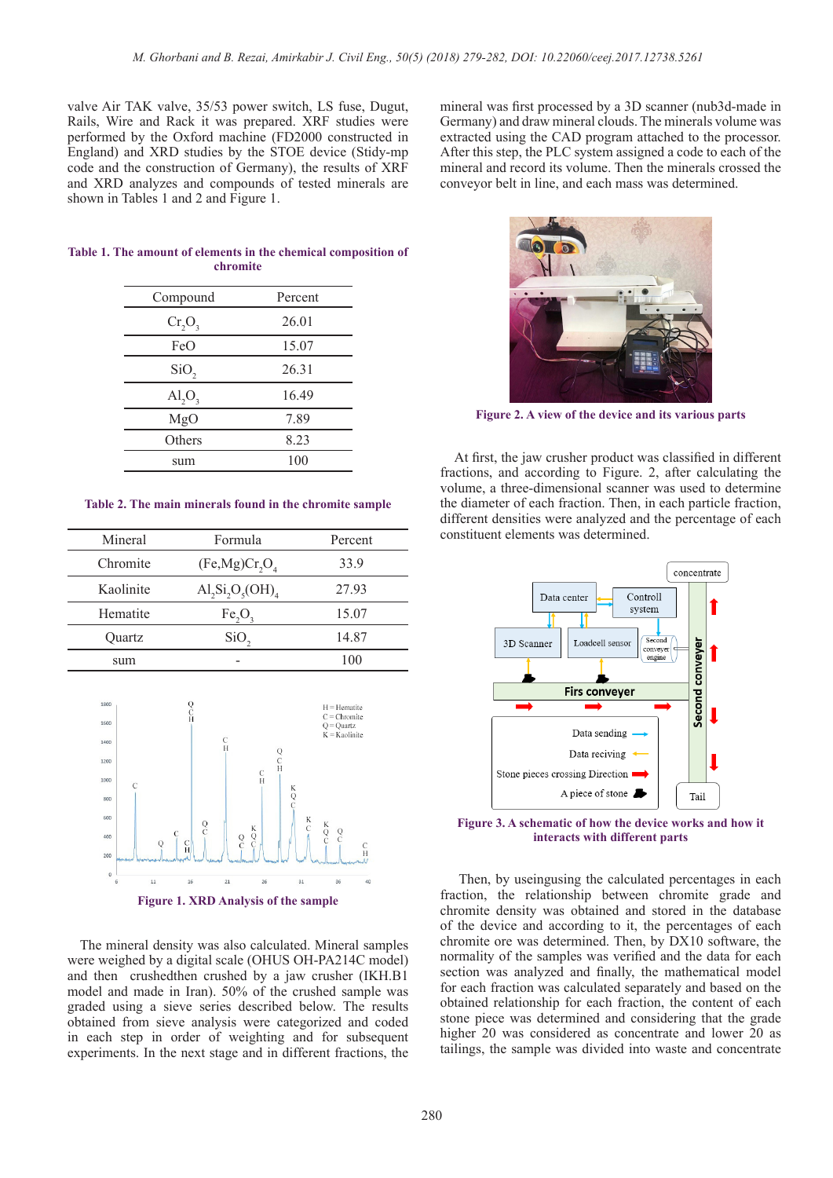valve Air TAK valve, 35/53 power switch, LS fuse, Dugut, Rails, Wire and Rack it was prepared. XRF studies were performed by the Oxford machine (FD2000 constructed in England) and XRD studies by the STOE device (Stidy-mp code and the construction of Germany), the results of XRF and XRD analyzes and compounds of tested minerals are shown in Tables 1 and 2 and Figure 1.

mineral was first processed by a 3D scanner (nub3d-made in Germany) and draw mineral clouds. The minerals volume was extracted using the CAD program attached to the processor. After this step, the PLC system assigned a code to each of the mineral and record its volume. Then the minerals crossed the conveyor belt in line, and each mass was determined.

**Figure 2. A view of the device and its various parts**

 At first, the jaw crusher product was classified in different fractions, and according to Figure. 2, after calculating the volume, a three-dimensional scanner was used to determine the diameter of each fraction. Then, in each particle fraction, different densities were analyzed and the percentage of each constituent elements was determined.



**Figure 3. A schematic of how the device works and how it interacts with different parts**

 Then, by useingusing the calculated percentages in each fraction, the relationship between chromite grade and chromite density was obtained and stored in the database of the device and according to it, the percentages of each chromite ore was determined. Then, by DX10 software, the normality of the samples was verified and the data for each section was analyzed and finally, the mathematical model for each fraction was calculated separately and based on the obtained relationship for each fraction, the content of each stone piece was determined and considering that the grade higher 20 was considered as concentrate and lower 20 as tailings, the sample was divided into waste and concentrate

# **Table 1. The amount of elements in the chemical composition of chromite**

| Compound                | Percent |
|-------------------------|---------|
| $Cr_2O_3$               | 26.01   |
| FeO                     | 15.07   |
| SiO <sub>2</sub>        | 26.31   |
| $\text{Al}_2\text{O}_3$ | 16.49   |
| MgO                     | 7.89    |
| Others                  | 8.23    |
| sum                     | 100     |

# **Table 2. The main minerals found in the chromite sample**

| Mineral   | Formula                                         | Percent |
|-----------|-------------------------------------------------|---------|
| Chromite  | $(Fe, Mg)Cr_2O$                                 | 33.9    |
| Kaolinite | $\text{Al}_2\text{Si}_2\text{O}_5(\text{OH})_4$ | 27.93   |
| Hematite  | Fe <sub>2</sub> O <sub>3</sub>                  | 15.07   |
| Ouartz    | SiO <sub>2</sub>                                | 14.87   |
| sum       |                                                 | 100     |



 The mineral density was also calculated. Mineral samples were weighed by a digital scale (OHUS OH-PA214C model) and then crushedthen crushed by a jaw crusher (IKH.B1 model and made in Iran). 50% of the crushed sample was graded using a sieve series described below. The results obtained from sieve analysis were categorized and coded in each step in order of weighting and for subsequent experiments. In the next stage and in different fractions, the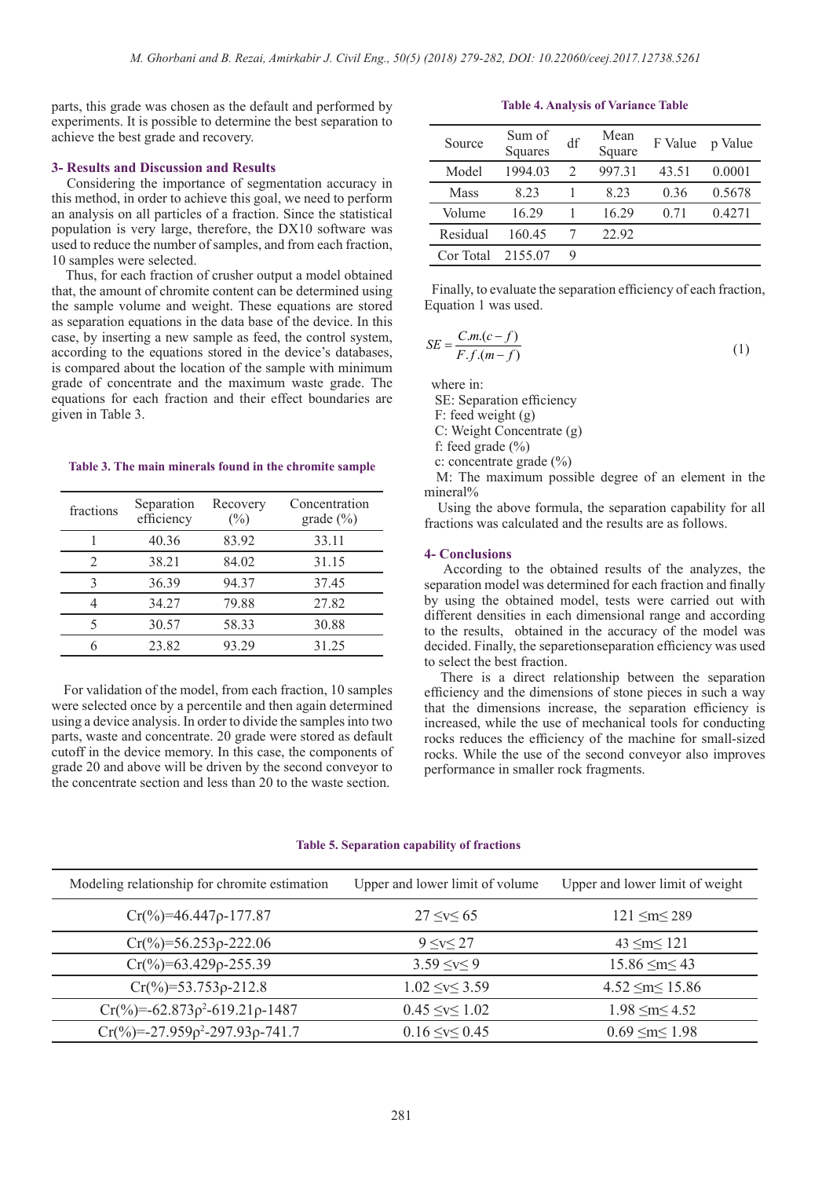parts, this grade was chosen as the default and performed by experiments. It is possible to determine the best separation to achieve the best grade and recovery.

### **3- Results and Discussion and Results**

 Considering the importance of segmentation accuracy in this method, in order to achieve this goal, we need to perform an analysis on all particles of a fraction. Since the statistical population is very large, therefore, the DX10 software was used to reduce the number of samples, and from each fraction, 10 samples were selected.

 Thus, for each fraction of crusher output a model obtained that, the amount of chromite content can be determined using the sample volume and weight. These equations are stored as separation equations in the data base of the device. In this case, by inserting a new sample as feed, the control system, according to the equations stored in the device's databases, is compared about the location of the sample with minimum grade of concentrate and the maximum waste grade. The equations for each fraction and their effect boundaries are given in Table 3.

### **Table 3. The main minerals found in the chromite sample**

| fractions                   | Separation<br>efficiency | Recovery<br>$(\%)$ | Concentration<br>$\text{grade } (\% )$ |
|-----------------------------|--------------------------|--------------------|----------------------------------------|
|                             | 40.36                    | 83.92              | 33.11                                  |
| $\mathcal{D}_{\mathcal{L}}$ | 38.21                    | 84.02              | 31.15                                  |
|                             | 36.39                    | 94.37              | 37.45                                  |
|                             | 34.27                    | 79.88              | 27.82                                  |
|                             | 30.57                    | 58.33              | 30.88                                  |
|                             | 23.82                    | 93.29              | 31.25                                  |

 For validation of the model, from each fraction, 10 samples were selected once by a percentile and then again determined using a device analysis. In order to divide the samples into two parts, waste and concentrate. 20 grade were stored as default cutoff in the device memory. In this case, the components of grade 20 and above will be driven by the second conveyor to the concentrate section and less than 20 to the waste section.

**Table 4. Analysis of Variance Table**

| Source      | Sum of<br>Squares | df             | Mean<br>Square | F Value | p Value |
|-------------|-------------------|----------------|----------------|---------|---------|
| Model       | 1994.03           | $\mathfrak{D}$ | 997.31         | 43.51   | 0.0001  |
| <b>Mass</b> | 823               |                | 823            | 0.36    | 0.5678  |
| Volume      | 16.29             |                | 16.29          | 0.71    | 0.4271  |
| Residual    | 160.45            |                | 22.92          |         |         |
| Cor Total   | 2155.07           | 9              |                |         |         |

 Finally, to evaluate the separation efficiency of each fraction, Equation 1 was used.

$$
SE = \frac{C.m.(c-f)}{F.f.(m-f)}
$$
(1)

where in:

SE: Separation efficiency

- F: feed weight (g)
- C: Weight Concentrate (g)
- f: feed grade  $(\% )$
- c: concentrate grade (%)

 M: The maximum possible degree of an element in the mineral%

 Using the above formula, the separation capability for all fractions was calculated and the results are as follows.

#### **4- Conclusions**

 According to the obtained results of the analyzes, the separation model was determined for each fraction and finally by using the obtained model, tests were carried out with different densities in each dimensional range and according to the results, obtained in the accuracy of the model was decided. Finally, the separetionseparation efficiency was used to select the best fraction.

 There is a direct relationship between the separation efficiency and the dimensions of stone pieces in such a way that the dimensions increase, the separation efficiency is increased, while the use of mechanical tools for conducting rocks reduces the efficiency of the machine for small-sized rocks. While the use of the second conveyor also improves performance in smaller rock fragments.

#### **Table 5. Separation capability of fractions**

| Modeling relationship for chromite estimation | Upper and lower limit of volume | Upper and lower limit of weight |
|-----------------------------------------------|---------------------------------|---------------------------------|
| $Cr(%)=46.447\rho-177.87$                     | $27 \leq v \leq 65$             | $121 \le m \le 289$             |
| $Cr(\frac{9}{6})=56.253p-222.06$              | $9 \leq v \leq 27$              | $43 \leq m \leq 121$            |
| $Cr(%)=63.429p-255.39$                        | $3.59 \leq v \leq 9$            | $15.86 \leq m \leq 43$          |
| $Cr(%)=53.753p-212.8$                         | $1.02 \leq v \leq 3.59$         | $4.52 \leq m \leq 15.86$        |
| $Cr(%)=-62.873p^2-619.21p-1487$               | $0.45 \leq v \leq 1.02$         | $1.98 \le m \le 4.52$           |
| $Cr(%) = -27.959p^2 - 297.93p - 741.7$        | $0.16 \leq v \leq 0.45$         | $0.69 \leq m \leq 1.98$         |